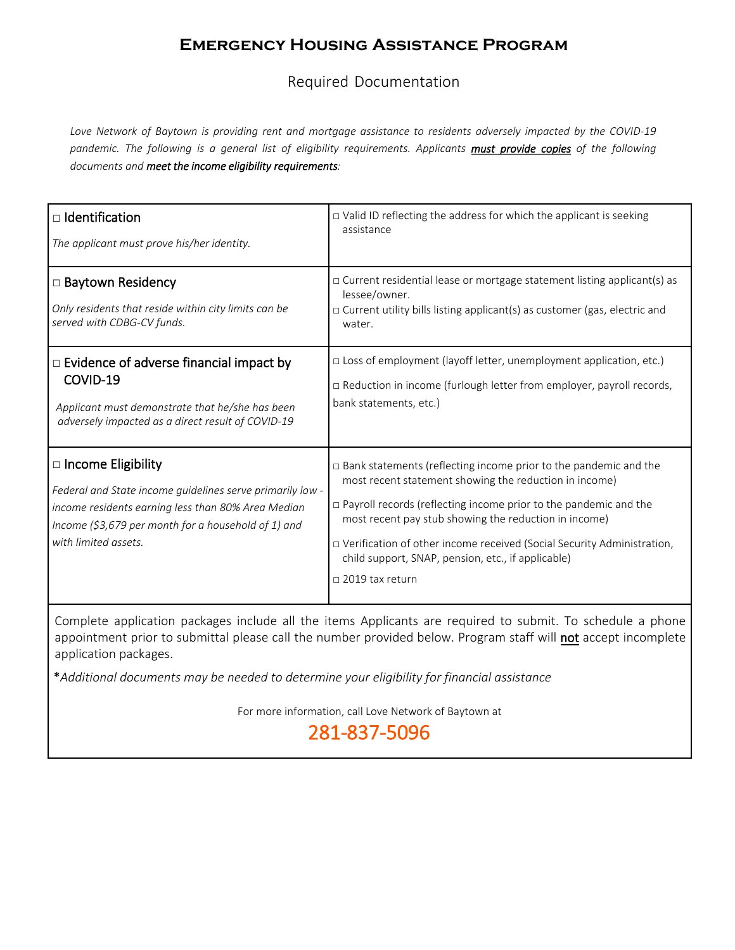Required Documentation

*Love Network of Baytown is providing rent and mortgage assistance to residents adversely impacted by the COVID-19*  pandemic. The following is a general list of eligibility requirements. Applicants must provide copies of the following *documents and meet the income eligibility requirements:* 

| $\Box$ Identification<br>The applicant must prove his/her identity.                                                                                                                                                         | $\Box$ Valid ID reflecting the address for which the applicant is seeking<br>assistance                                                                                                                                                                                                                                                                                                                                           |
|-----------------------------------------------------------------------------------------------------------------------------------------------------------------------------------------------------------------------------|-----------------------------------------------------------------------------------------------------------------------------------------------------------------------------------------------------------------------------------------------------------------------------------------------------------------------------------------------------------------------------------------------------------------------------------|
| □ Baytown Residency<br>Only residents that reside within city limits can be<br>served with CDBG-CV funds.                                                                                                                   | □ Current residential lease or mortgage statement listing applicant(s) as<br>lessee/owner.<br>$\Box$ Current utility bills listing applicant(s) as customer (gas, electric and<br>water.                                                                                                                                                                                                                                          |
| $\Box$ Evidence of adverse financial impact by<br>COVID-19<br>Applicant must demonstrate that he/she has been<br>adversely impacted as a direct result of COVID-19                                                          | □ Loss of employment (layoff letter, unemployment application, etc.)<br>□ Reduction in income (furlough letter from employer, payroll records,<br>bank statements, etc.)                                                                                                                                                                                                                                                          |
| $\Box$ Income Eligibility<br>Federal and State income guidelines serve primarily low -<br>income residents earning less than 80% Area Median<br>Income (\$3,679 per month for a household of 1) and<br>with limited assets. | $\Box$ Bank statements (reflecting income prior to the pandemic and the<br>most recent statement showing the reduction in income)<br>$\Box$ Payroll records (reflecting income prior to the pandemic and the<br>most recent pay stub showing the reduction in income)<br>□ Verification of other income received (Social Security Administration,<br>child support, SNAP, pension, etc., if applicable)<br>$\Box$ 2019 tax return |

Complete application packages include all the items Applicants are required to submit. To schedule a phone appointment prior to submittal please call the number provided below. Program staff will not accept incomplete application packages.

\**Additional documents may be needed to determine your eligibility for financial assistance*

For more information, call Love Network of Baytown at

281-837-5096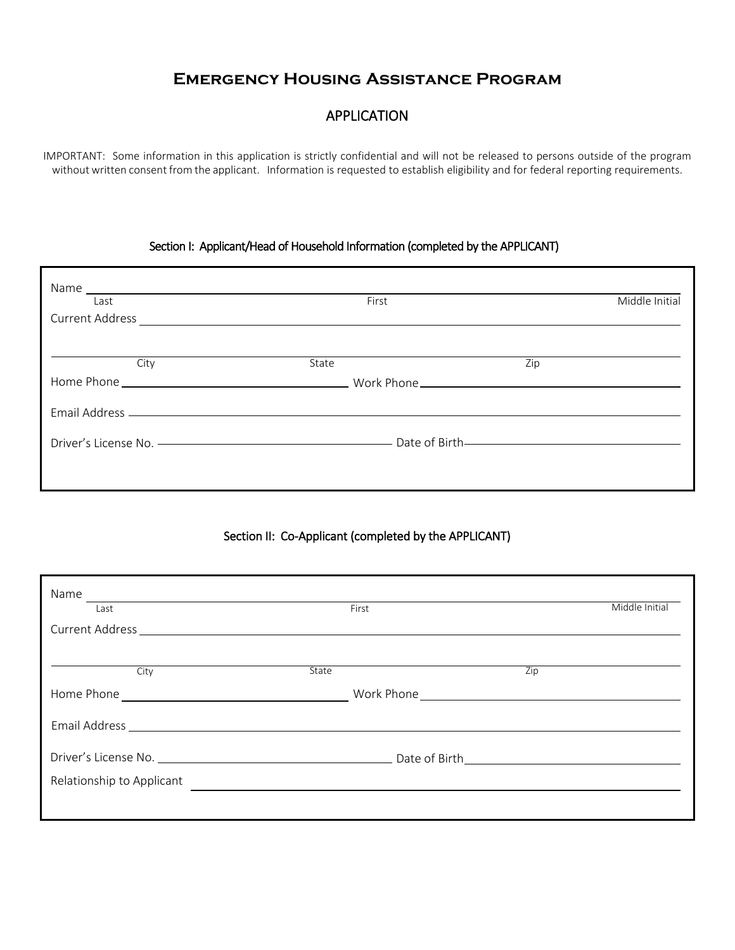## APPLICATION

IMPORTANT: Some information in this application is strictly confidential and will not be released to persons outside of the program without written consent from the applicant. Information is requested to establish eligibility and for federal reporting requirements.

#### Section I: Applicant/Head of Household Information (completed by the APPLICANT)

| Name<br><u> 1989 - John Stein, Amerikaansk politiker (</u><br>Last | First | Middle Initial                                                                 |
|--------------------------------------------------------------------|-------|--------------------------------------------------------------------------------|
| City                                                               | State | Zip                                                                            |
|                                                                    |       |                                                                                |
|                                                                    |       | Driver's License No. ——————————————————————— Date of Birth———————————————————— |
|                                                                    |       |                                                                                |

### Section II: Co-Applicant (completed by the APPLICANT)

| Name<br>Last              | First        |                  | Middle Initial |
|---------------------------|--------------|------------------|----------------|
|                           |              |                  |                |
| City                      | <b>State</b> | $\overline{Zip}$ |                |
|                           |              |                  |                |
|                           |              |                  |                |
|                           |              |                  |                |
| Relationship to Applicant |              |                  |                |
|                           |              |                  |                |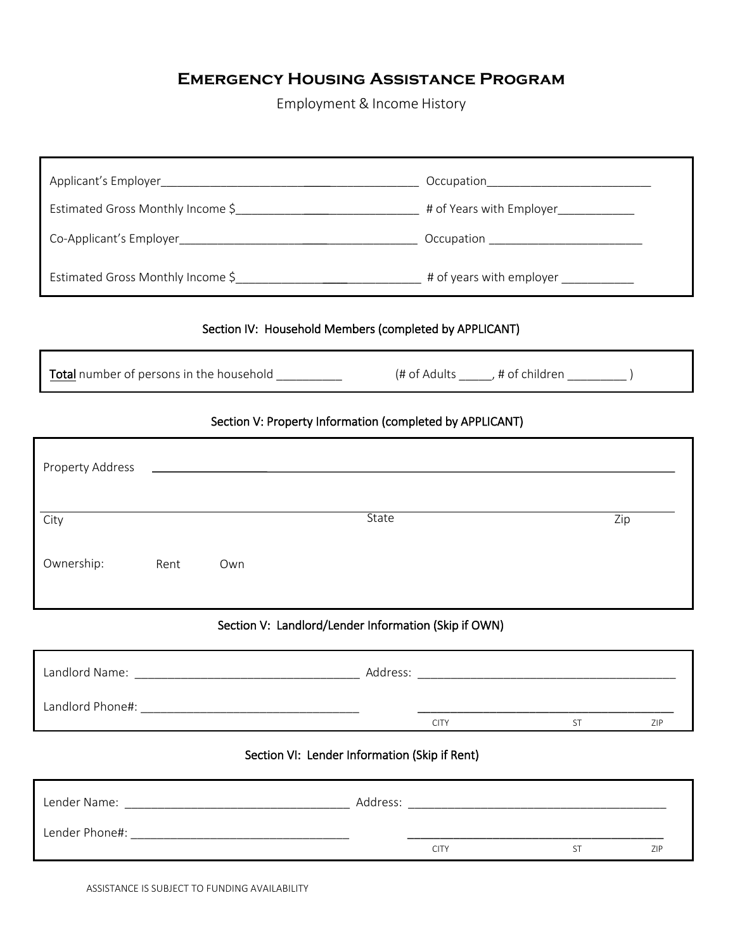Employment & Income History

| Estimated Gross Monthly Income \$___________________________________# of Years with Employer_______________                                                                                                                    |                                                                                                                                                                                                                                |  |  |
|--------------------------------------------------------------------------------------------------------------------------------------------------------------------------------------------------------------------------------|--------------------------------------------------------------------------------------------------------------------------------------------------------------------------------------------------------------------------------|--|--|
|                                                                                                                                                                                                                                |                                                                                                                                                                                                                                |  |  |
|                                                                                                                                                                                                                                |                                                                                                                                                                                                                                |  |  |
| Section IV: Household Members (completed by APPLICANT)                                                                                                                                                                         |                                                                                                                                                                                                                                |  |  |
| <b>Total</b> number of persons in the household ___________                                                                                                                                                                    | (# of Adults ______, # of children ____________)                                                                                                                                                                               |  |  |
| Section V: Property Information (completed by APPLICANT)                                                                                                                                                                       |                                                                                                                                                                                                                                |  |  |
|                                                                                                                                                                                                                                |                                                                                                                                                                                                                                |  |  |
| State<br>City                                                                                                                                                                                                                  | $\overline{Zip}$                                                                                                                                                                                                               |  |  |
| Ownership:<br>Rent<br>Own                                                                                                                                                                                                      |                                                                                                                                                                                                                                |  |  |
| Section V: Landlord/Lender Information (Skip if OWN)                                                                                                                                                                           |                                                                                                                                                                                                                                |  |  |
|                                                                                                                                                                                                                                |                                                                                                                                                                                                                                |  |  |
| Landlord Phone#: Website the Contract of the Contract of the Contract of the Contract of the Contract of the Contract of the Contract of the Contract of the Contract of the Contract of the Contract of the Contract of the C | ST<br><b>CITY</b><br>ZIP                                                                                                                                                                                                       |  |  |
| Section VI: Lender Information (Skip if Rent)                                                                                                                                                                                  |                                                                                                                                                                                                                                |  |  |
|                                                                                                                                                                                                                                | Address: Analysis and the contract of the contract of the contract of the contract of the contract of the contract of the contract of the contract of the contract of the contract of the contract of the contract of the cont |  |  |

CITY ST ZIP

Lender Phone#: \_\_\_\_\_\_\_\_\_\_\_\_\_\_\_\_\_\_\_\_\_\_\_\_\_\_\_\_\_\_\_\_\_ \_\_\_\_\_\_\_\_\_\_\_\_\_\_\_\_\_\_\_\_\_\_\_\_\_\_\_\_\_\_\_\_\_\_\_\_\_\_\_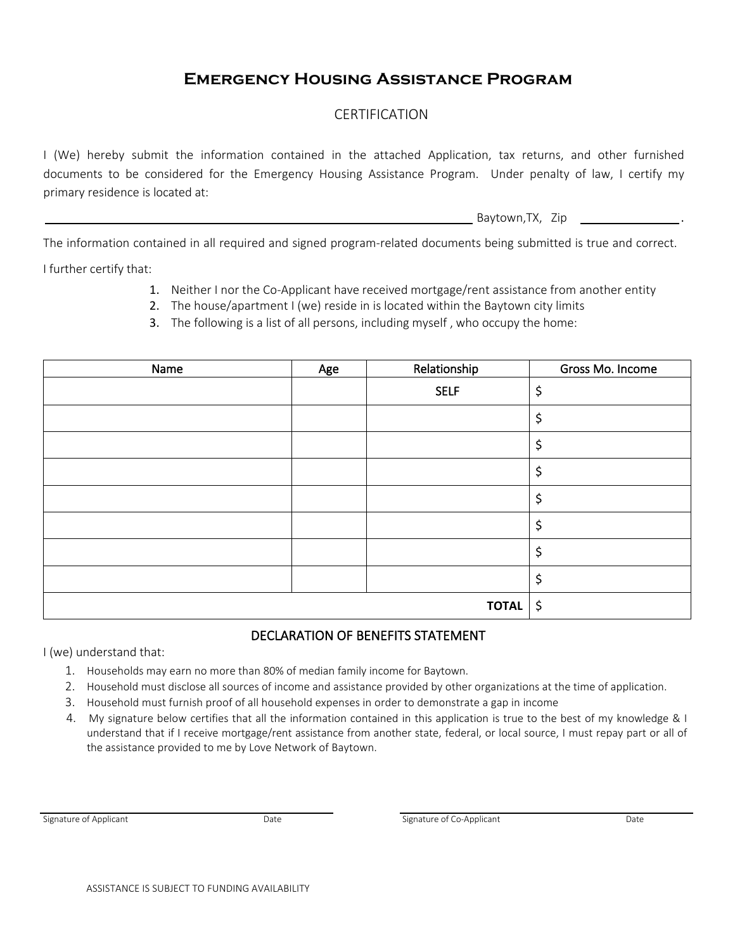## CERTIFICATION

I (We) hereby submit the information contained in the attached Application, tax returns, and other furnished documents to be considered for the Emergency Housing Assistance Program. Under penalty of law, I certify my primary residence is located at:

Baytown,TX, Zip .

The information contained in all required and signed program-related documents being submitted is true and correct.

I further certify that:

- 1. Neither I nor the Co-Applicant have received mortgage/rent assistance from another entity
- 2. The house/apartment I (we) reside in is located within the Baytown city limits
- 3. The following is a list of all persons, including myself , who occupy the home:

| Name | Age | Relationship | Gross Mo. Income |
|------|-----|--------------|------------------|
|      |     | <b>SELF</b>  | \$               |
|      |     |              | \$               |
|      |     |              | \$               |
|      |     |              | \$               |
|      |     |              | \$               |
|      |     |              | Ś                |
|      |     |              |                  |
|      |     |              |                  |
|      |     | TOTAL $ \;$  |                  |

## DECLARATION OF BENEFITS STATEMENT

I (we) understand that:

- 1. Households may earn no more than 80% of median family income for Baytown.
- 2. Household must disclose all sources of income and assistance provided by other organizations at the time of application.
- 3. Household must furnish proof of all household expenses in order to demonstrate a gap in income
- 4. My signature below certifies that all the information contained in this application is true to the best of my knowledge & I understand that if I receive mortgage/rent assistance from another state, federal, or local source, I must repay part or all of the assistance provided to me by Love Network of Baytown.

Signature of Applicant Date Date Date Signature of Co-Applicant Date Date Date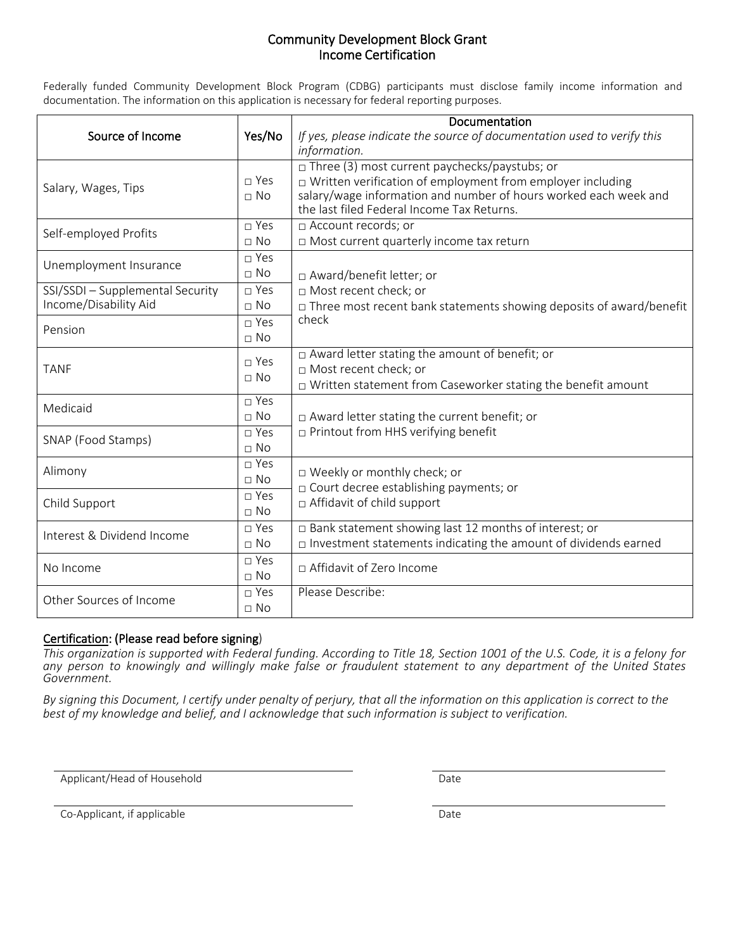### Community Development Block Grant Income Certification

Federally funded Community Development Block Program (CDBG) participants must disclose family income information and documentation. The information on this application is necessary for federal reporting purposes.

|                                  |                           | Documentation                                                                                                                         |  |  |
|----------------------------------|---------------------------|---------------------------------------------------------------------------------------------------------------------------------------|--|--|
| Source of Income                 | Yes/No                    | If yes, please indicate the source of documentation used to verify this<br>information.                                               |  |  |
|                                  | $\sqcap$ Yes              | $\Box$ Three (3) most current paychecks/paystubs; or                                                                                  |  |  |
| Salary, Wages, Tips              | $\Box$ No                 | $\Box$ Written verification of employment from employer including<br>salary/wage information and number of hours worked each week and |  |  |
|                                  |                           | the last filed Federal Income Tax Returns.                                                                                            |  |  |
| Self-employed Profits            | $\Box$ Yes                | □ Account records; or                                                                                                                 |  |  |
|                                  | $\sqcap$ No               | □ Most current quarterly income tax return                                                                                            |  |  |
| Unemployment Insurance           | $\Box$ Yes                |                                                                                                                                       |  |  |
|                                  | $\Box$ No                 | □ Award/benefit letter; or                                                                                                            |  |  |
| SSI/SSDI - Supplemental Security | □ Yes                     | □ Most recent check; or                                                                                                               |  |  |
| Income/Disability Aid            | $\sqcap$ No               | $\Box$ Three most recent bank statements showing deposits of award/benefit                                                            |  |  |
| Pension                          | $\square$ Yes             | check                                                                                                                                 |  |  |
|                                  | $\sqcap$ No               |                                                                                                                                       |  |  |
|                                  | $\square$ Yes             | □ Award letter stating the amount of benefit; or                                                                                      |  |  |
| <b>TANF</b>                      | $\Box$ No                 | □ Most recent check; or                                                                                                               |  |  |
|                                  |                           | $\Box$ Written statement from Caseworker stating the benefit amount                                                                   |  |  |
| Medicaid                         | $\neg$ Yes                |                                                                                                                                       |  |  |
|                                  | $\sqcap$ No               | $\Box$ Award letter stating the current benefit; or                                                                                   |  |  |
| SNAP (Food Stamps)               | $\sqcap$ Yes              | $\Box$ Printout from HHS verifying benefit                                                                                            |  |  |
|                                  | $\Box$ No<br>$\sqcap$ Yes |                                                                                                                                       |  |  |
| Alimony                          | $\Box$ No                 | □ Weekly or monthly check; or                                                                                                         |  |  |
|                                  | $\sqcap$ Yes              | □ Court decree establishing payments; or                                                                                              |  |  |
| Child Support                    | $\Box$ No                 | $\Box$ Affidavit of child support                                                                                                     |  |  |
|                                  | $\sqcap$ Yes              |                                                                                                                                       |  |  |
| Interest & Dividend Income       |                           | $\Box$ Bank statement showing last 12 months of interest; or                                                                          |  |  |
|                                  | $\Box$ No                 | $\Box$ Investment statements indicating the amount of dividends earned                                                                |  |  |
| No Income                        | $\sqcap$ Yes              | □ Affidavit of Zero Income                                                                                                            |  |  |
|                                  | $\sqcap$ No               |                                                                                                                                       |  |  |
| Other Sources of Income          | $\sqcap$ Yes              | Please Describe:                                                                                                                      |  |  |
|                                  | $\Box$ No                 |                                                                                                                                       |  |  |

## Certification: (Please read before signing)

*This organization is supported with Federal funding. According to Title 18, Section 1001 of the U.S. Code, it is a felony for any person to knowingly and willingly make false or fraudulent statement to any department of the United States Government.* 

*By signing this Document, I certify under penalty of perjury, that all the information on this application is correct to the best of my knowledge and belief, and I acknowledge that such information is subject to verification.* 

Applicant/Head of Household Date

Co-Applicant, if applicable Date